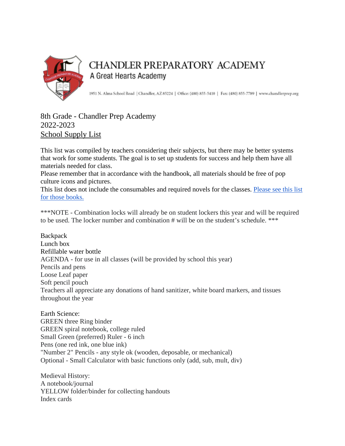

## CHANDLER PREPARATORY ACADEMY A Great Hearts Academy

1951 N. Alma School Road | Chandler, AZ 85224 | Office: (480) 855-5410 | Fax: (480) 855-7789 | www.chandlerprep.org

## 8th Grade - Chandler Prep Academy 2022-2023 School Supply List

This list was compiled by teachers considering their subjects, but there may be better systems that work for some students. The goal is to set up students for success and help them have all materials needed for class.

Please remember that in accordance with the handbook, all materials should be free of pop culture icons and pictures.

This list does not include the consumables and required novels for the classes. [Please see this list](https://chandlerprep.greatheartsamerica.org/academics/booksupply-lists/)  [for those books.](https://chandlerprep.greatheartsamerica.org/academics/booksupply-lists/)

\*\*\*NOTE - Combination locks will already be on student lockers this year and will be required to be used. The locker number and combination # will be on the student's schedule. \*\*\*

**Backpack** Lunch box Refillable water bottle AGENDA - for use in all classes (will be provided by school this year) Pencils and pens Loose Leaf paper Soft pencil pouch Teachers all appreciate any donations of hand sanitizer, white board markers, and tissues throughout the year

Earth Science: GREEN three Ring binder GREEN spiral notebook, college ruled Small Green (preferred) Ruler - 6 inch Pens (one red ink, one blue ink) "Number 2" Pencils - any style ok (wooden, deposable, or mechanical) Optional - Small Calculator with basic functions only (add, sub, mult, div)

Medieval History: A notebook/journal YELLOW folder/binder for collecting handouts Index cards